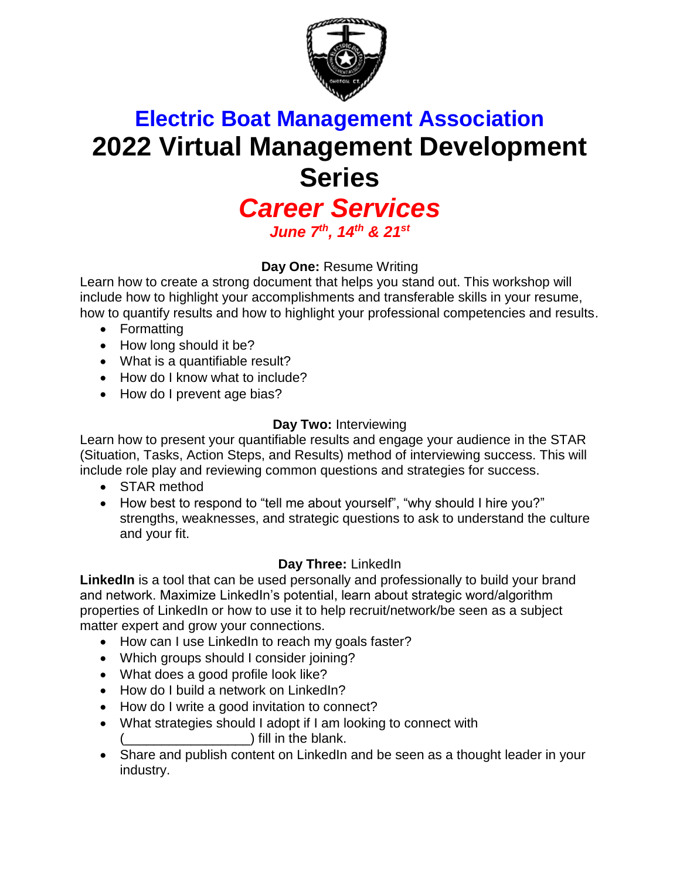

# **Electric Boat Management Association 2022 Virtual Management Development Series**

### *Career Services June 7th, 14th & 21st*

### **Day One:** Resume Writing

Learn how to create a strong document that helps you stand out. This workshop will include how to highlight your accomplishments and transferable skills in your resume, how to quantify results and how to highlight your professional competencies and results.

- Formatting
- How long should it be?
- What is a quantifiable result?
- How do I know what to include?
- How do I prevent age bias?

### **Day Two:** Interviewing

Learn how to present your quantifiable results and engage your audience in the STAR (Situation, Tasks, Action Steps, and Results) method of interviewing success. This will include role play and reviewing common questions and strategies for success.

- STAR method
- How best to respond to "tell me about yourself", "why should I hire you?" strengths, weaknesses, and strategic questions to ask to understand the culture and your fit.

#### **Day Three:** LinkedIn

**LinkedIn** is a tool that can be used personally and professionally to build your brand and network. Maximize LinkedIn's potential, learn about strategic word/algorithm properties of LinkedIn or how to use it to help recruit/network/be seen as a subject matter expert and grow your connections.

- How can I use LinkedIn to reach my goals faster?
- Which groups should I consider joining?
- What does a good profile look like?
- How do I build a network on LinkedIn?
- How do I write a good invitation to connect?
- What strategies should I adopt if I am looking to connect with  $\Box$ ) fill in the blank.
- Share and publish content on LinkedIn and be seen as a thought leader in your industry.